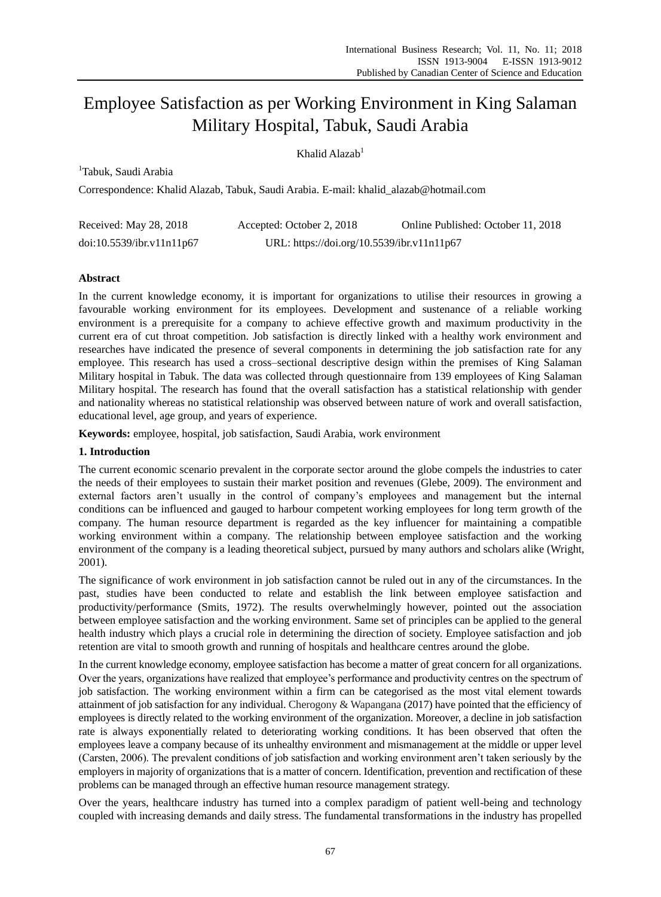# Employee Satisfaction as per Working Environment in King Salaman Military Hospital, Tabuk, Saudi Arabia

Khalid Alazab<sup>1</sup>

<sup>1</sup>Tabuk, Saudi Arabia

Correspondence: Khalid Alazab, Tabuk, Saudi Arabia. E-mail: khalid\_alazab@hotmail.com

| Received: May 28, 2018    | Accepted: October 2, 2018                  | Online Published: October 11, 2018 |
|---------------------------|--------------------------------------------|------------------------------------|
| doi:10.5539/ibr.v11n11p67 | URL: https://doi.org/10.5539/ibr.v11n11p67 |                                    |

## **Abstract**

In the current knowledge economy, it is important for organizations to utilise their resources in growing a favourable working environment for its employees. Development and sustenance of a reliable working environment is a prerequisite for a company to achieve effective growth and maximum productivity in the current era of cut throat competition. Job satisfaction is directly linked with a healthy work environment and researches have indicated the presence of several components in determining the job satisfaction rate for any employee. This research has used a cross–sectional descriptive design within the premises of King Salaman Military hospital in Tabuk. The data was collected through questionnaire from 139 employees of King Salaman Military hospital. The research has found that the overall satisfaction has a statistical relationship with gender and nationality whereas no statistical relationship was observed between nature of work and overall satisfaction, educational level, age group, and years of experience.

**Keywords:** employee, hospital, job satisfaction, Saudi Arabia, work environment

## **1. Introduction**

The current economic scenario prevalent in the corporate sector around the globe compels the industries to cater the needs of their employees to sustain their market position and revenues (Glebe, 2009). The environment and external factors aren't usually in the control of company's employees and management but the internal conditions can be influenced and gauged to harbour competent working employees for long term growth of the company. The human resource department is regarded as the key influencer for maintaining a compatible working environment within a company. The relationship between employee satisfaction and the working environment of the company is a leading theoretical subject, pursued by many authors and scholars alike (Wright, 2001).

The significance of work environment in job satisfaction cannot be ruled out in any of the circumstances. In the past, studies have been conducted to relate and establish the link between employee satisfaction and productivity/performance (Smits, 1972). The results overwhelmingly however, pointed out the association between employee satisfaction and the working environment. Same set of principles can be applied to the general health industry which plays a crucial role in determining the direction of society. Employee satisfaction and job retention are vital to smooth growth and running of hospitals and healthcare centres around the globe.

In the current knowledge economy, employee satisfaction has become a matter of great concern for all organizations. Over the years, organizations have realized that employee's performance and productivity centres on the spectrum of job satisfaction. The working environment within a firm can be categorised as the most vital element towards attainment of job satisfaction for any individual. Cherogony & Wapangana (2017) have pointed that the efficiency of employees is directly related to the working environment of the organization. Moreover, a decline in job satisfaction rate is always exponentially related to deteriorating working conditions. It has been observed that often the employees leave a company because of its unhealthy environment and mismanagement at the middle or upper level (Carsten, 2006). The prevalent conditions of job satisfaction and working environment aren't taken seriously by the employers in majority of organizations that is a matter of concern. Identification, prevention and rectification of these problems can be managed through an effective human resource management strategy.

Over the years, healthcare industry has turned into a complex paradigm of patient well-being and technology coupled with increasing demands and daily stress. The fundamental transformations in the industry has propelled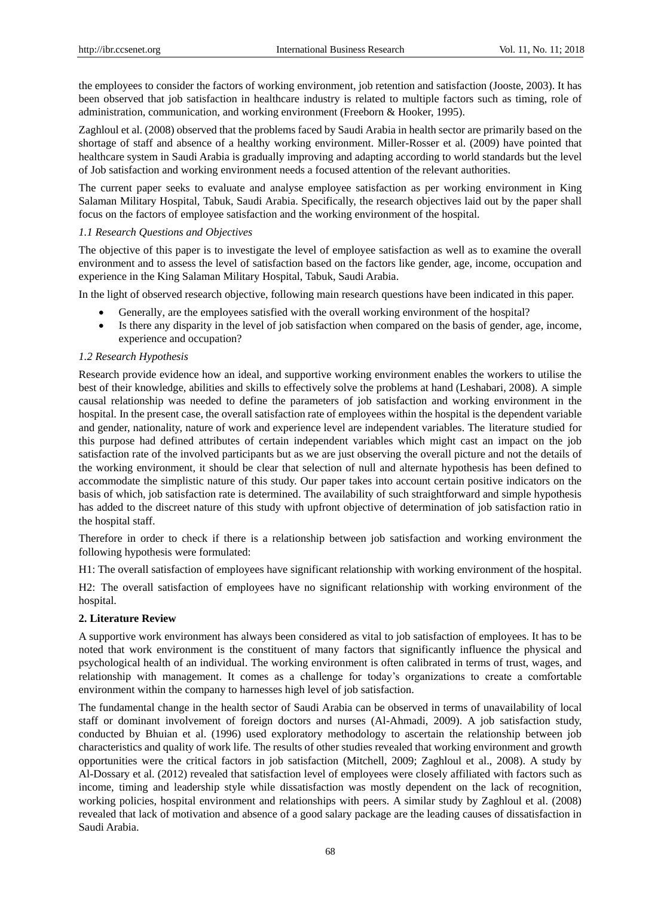the employees to consider the factors of working environment, job retention and satisfaction (Jooste, 2003). It has been observed that job satisfaction in healthcare industry is related to multiple factors such as timing, role of administration, communication, and working environment (Freeborn & Hooker, 1995).

Zaghloul et al. (2008) observed that the problems faced by Saudi Arabia in health sector are primarily based on the shortage of staff and absence of a healthy working environment. Miller-Rosser et al. (2009) have pointed that healthcare system in Saudi Arabia is gradually improving and adapting according to world standards but the level of Job satisfaction and working environment needs a focused attention of the relevant authorities.

The current paper seeks to evaluate and analyse employee satisfaction as per working environment in King Salaman Military Hospital, Tabuk, Saudi Arabia. Specifically, the research objectives laid out by the paper shall focus on the factors of employee satisfaction and the working environment of the hospital.

### *1.1 Research Questions and Objectives*

The objective of this paper is to investigate the level of employee satisfaction as well as to examine the overall environment and to assess the level of satisfaction based on the factors like gender, age, income, occupation and experience in the King Salaman Military Hospital, Tabuk, Saudi Arabia.

In the light of observed research objective, following main research questions have been indicated in this paper.

- Generally, are the employees satisfied with the overall working environment of the hospital?
- Is there any disparity in the level of job satisfaction when compared on the basis of gender, age, income, experience and occupation?

## *1.2 Research Hypothesis*

Research provide evidence how an ideal, and supportive working environment enables the workers to utilise the best of their knowledge, abilities and skills to effectively solve the problems at hand (Leshabari, 2008). A simple causal relationship was needed to define the parameters of job satisfaction and working environment in the hospital. In the present case, the overall satisfaction rate of employees within the hospital is the dependent variable and gender, nationality, nature of work and experience level are independent variables. The literature studied for this purpose had defined attributes of certain independent variables which might cast an impact on the job satisfaction rate of the involved participants but as we are just observing the overall picture and not the details of the working environment, it should be clear that selection of null and alternate hypothesis has been defined to accommodate the simplistic nature of this study. Our paper takes into account certain positive indicators on the basis of which, job satisfaction rate is determined. The availability of such straightforward and simple hypothesis has added to the discreet nature of this study with upfront objective of determination of job satisfaction ratio in the hospital staff.

Therefore in order to check if there is a relationship between job satisfaction and working environment the following hypothesis were formulated:

H1: The overall satisfaction of employees have significant relationship with working environment of the hospital.

H2: The overall satisfaction of employees have no significant relationship with working environment of the hospital.

#### **2. Literature Review**

A supportive work environment has always been considered as vital to job satisfaction of employees. It has to be noted that work environment is the constituent of many factors that significantly influence the physical and psychological health of an individual. The working environment is often calibrated in terms of trust, wages, and relationship with management. It comes as a challenge for today's organizations to create a comfortable environment within the company to harnesses high level of job satisfaction.

The fundamental change in the health sector of Saudi Arabia can be observed in terms of unavailability of local staff or dominant involvement of foreign doctors and nurses (Al-Ahmadi, 2009). A job satisfaction study, conducted by Bhuian et al. (1996) used exploratory methodology to ascertain the relationship between job characteristics and quality of work life. The results of other studies revealed that working environment and growth opportunities were the critical factors in job satisfaction (Mitchell, 2009; Zaghloul et al., 2008). A study by Al-Dossary et al. (2012) revealed that satisfaction level of employees were closely affiliated with factors such as income, timing and leadership style while dissatisfaction was mostly dependent on the lack of recognition, working policies, hospital environment and relationships with peers. A similar study by Zaghloul et al. (2008) revealed that lack of motivation and absence of a good salary package are the leading causes of dissatisfaction in Saudi Arabia.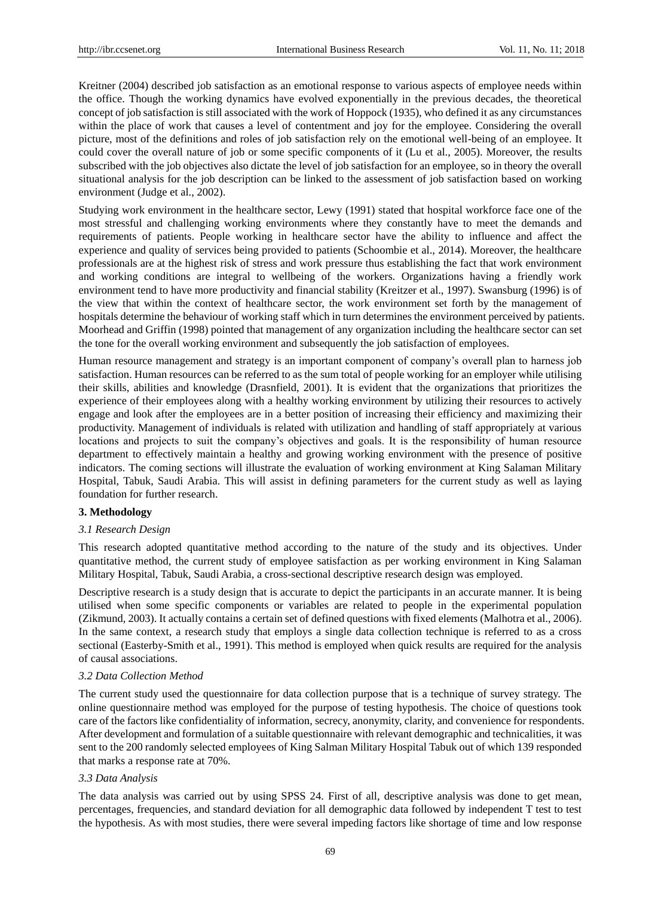Kreitner (2004) described job satisfaction as an emotional response to various aspects of employee needs within the office. Though the working dynamics have evolved exponentially in the previous decades, the theoretical concept of job satisfaction is still associated with the work of Hoppock (1935), who defined it as any circumstances within the place of work that causes a level of contentment and joy for the employee. Considering the overall picture, most of the definitions and roles of job satisfaction rely on the emotional well-being of an employee. It could cover the overall nature of job or some specific components of it (Lu et al., 2005). Moreover, the results subscribed with the job objectives also dictate the level of job satisfaction for an employee, so in theory the overall situational analysis for the job description can be linked to the assessment of job satisfaction based on working environment (Judge et al., 2002).

Studying work environment in the healthcare sector, Lewy (1991) stated that hospital workforce face one of the most stressful and challenging working environments where they constantly have to meet the demands and requirements of patients. People working in healthcare sector have the ability to influence and affect the experience and quality of services being provided to patients (Schoombie et al., 2014). Moreover, the healthcare professionals are at the highest risk of stress and work pressure thus establishing the fact that work environment and working conditions are integral to wellbeing of the workers. Organizations having a friendly work environment tend to have more productivity and financial stability (Kreitzer et al., 1997). Swansburg (1996) is of the view that within the context of healthcare sector, the work environment set forth by the management of hospitals determine the behaviour of working staff which in turn determines the environment perceived by patients. Moorhead and Griffin (1998) pointed that management of any organization including the healthcare sector can set the tone for the overall working environment and subsequently the job satisfaction of employees.

Human resource management and strategy is an important component of company's overall plan to harness job satisfaction. Human resources can be referred to as the sum total of people working for an employer while utilising their skills, abilities and knowledge (Drasnfield, 2001). It is evident that the organizations that prioritizes the experience of their employees along with a healthy working environment by utilizing their resources to actively engage and look after the employees are in a better position of increasing their efficiency and maximizing their productivity. Management of individuals is related with utilization and handling of staff appropriately at various locations and projects to suit the company's objectives and goals. It is the responsibility of human resource department to effectively maintain a healthy and growing working environment with the presence of positive indicators. The coming sections will illustrate the evaluation of working environment at King Salaman Military Hospital, Tabuk, Saudi Arabia. This will assist in defining parameters for the current study as well as laying foundation for further research.

## **3. Methodology**

#### *3.1 Research Design*

This research adopted quantitative method according to the nature of the study and its objectives. Under quantitative method, the current study of employee satisfaction as per working environment in King Salaman Military Hospital, Tabuk, Saudi Arabia, a cross-sectional descriptive research design was employed.

Descriptive research is a study design that is accurate to depict the participants in an accurate manner. It is being utilised when some specific components or variables are related to people in the experimental population (Zikmund, 2003). It actually contains a certain set of defined questions with fixed elements (Malhotra et al., 2006). In the same context, a research study that employs a single data collection technique is referred to as a cross sectional (Easterby-Smith et al., 1991). This method is employed when quick results are required for the analysis of causal associations.

#### *3.2 Data Collection Method*

The current study used the questionnaire for data collection purpose that is a technique of survey strategy. The online questionnaire method was employed for the purpose of testing hypothesis. The choice of questions took care of the factors like confidentiality of information, secrecy, anonymity, clarity, and convenience for respondents. After development and formulation of a suitable questionnaire with relevant demographic and technicalities, it was sent to the 200 randomly selected employees of King Salman Military Hospital Tabuk out of which 139 responded that marks a response rate at 70%.

#### *3.3 Data Analysis*

The data analysis was carried out by using SPSS 24. First of all, descriptive analysis was done to get mean, percentages, frequencies, and standard deviation for all demographic data followed by independent T test to test the hypothesis. As with most studies, there were several impeding factors like shortage of time and low response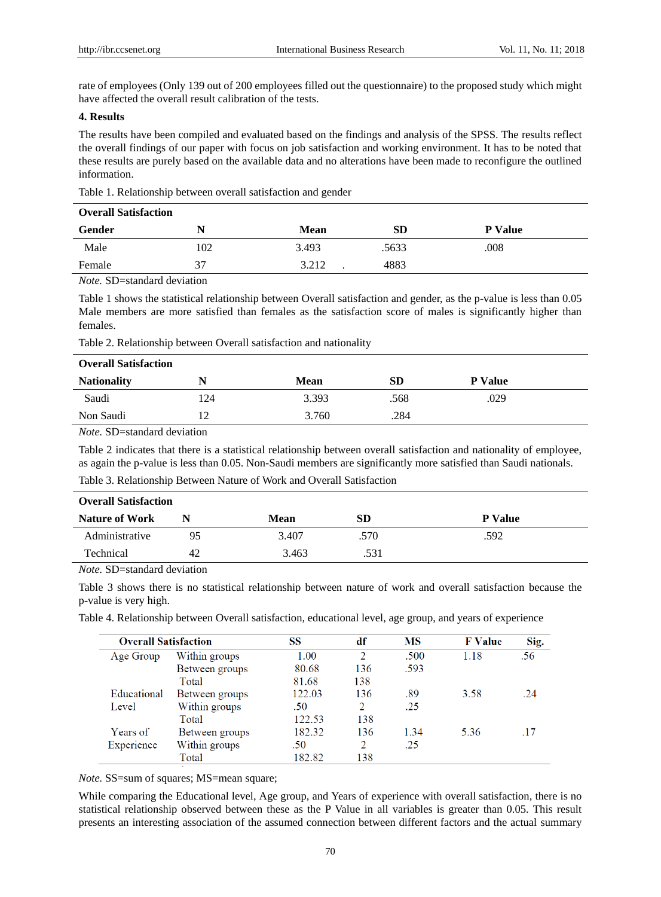rate of employees (Only 139 out of 200 employees filled out the questionnaire) to the proposed study which might have affected the overall result calibration of the tests.

## **4. Results**

The results have been compiled and evaluated based on the findings and analysis of the SPSS. The results reflect the overall findings of our paper with focus on job satisfaction and working environment. It has to be noted that these results are purely based on the available data and no alterations have been made to reconfigure the outlined information.

Table 1. Relationship between overall satisfaction and gender

| <b>Overall Satisfaction</b> |     |             |           |                |  |  |
|-----------------------------|-----|-------------|-----------|----------------|--|--|
| Gender                      |     | <b>Mean</b> | <b>SD</b> | <b>P</b> Value |  |  |
| Male                        | 102 | 3.493       | .5633     | .008           |  |  |
| Female                      | 37  | 3.212       | 4883      |                |  |  |

*Note.* SD=standard deviation

Table 1 shows the statistical relationship between Overall satisfaction and gender, as the p-value is less than 0.05 Male members are more satisfied than females as the satisfaction score of males is significantly higher than females.

Table 2. Relationship between Overall satisfaction and nationality

| <b>Overall Satisfaction</b> |                |       |           |                |  |  |
|-----------------------------|----------------|-------|-----------|----------------|--|--|
| <b>Nationality</b>          | N              | Mean  | <b>SD</b> | <b>P</b> Value |  |  |
| Saudi                       | 124            | 3.393 | .568      | .029           |  |  |
| Non Saudi                   | $\overline{1}$ | 3.760 | .284      |                |  |  |

*Note.* SD=standard deviation

Table 2 indicates that there is a statistical relationship between overall satisfaction and nationality of employee, as again the p-value is less than 0.05. Non-Saudi members are significantly more satisfied than Saudi nationals.

Table 3. Relationship Between Nature of Work and Overall Satisfaction

| <b>Overall Satisfaction</b> |    |       |      |                |  |  |  |
|-----------------------------|----|-------|------|----------------|--|--|--|
| <b>Nature of Work</b>       |    | Mean  | SD   | <b>P</b> Value |  |  |  |
| Administrative              | 95 | 3.407 | .570 | .592           |  |  |  |
| Technical                   | 42 | 3.463 | .531 |                |  |  |  |

*Note.* SD=standard deviation

Table 3 shows there is no statistical relationship between nature of work and overall satisfaction because the p-value is very high.

Table 4. Relationship between Overall satisfaction, educational level, age group, and years of experience

| <b>Overall Satisfaction</b> |                | SS     | df             | MS   | <b>F</b> Value | Sig. |
|-----------------------------|----------------|--------|----------------|------|----------------|------|
| Age Group                   | Within groups  | 1.00   | 2              | .500 | 1.18           | .56  |
|                             | Between groups | 80.68  | 136            | .593 |                |      |
|                             | Total          | 81.68  | 138            |      |                |      |
| Educational                 | Between groups | 122.03 | 136            | .89  | 3.58           | .24  |
| Level                       | Within groups  | .50    | 2              | .25  |                |      |
|                             | Total          | 122.53 | 138            |      |                |      |
| Years of                    | Between groups | 182.32 | 136            | 1.34 | 5.36           | -17  |
| Experience                  | Within groups  | .50    | $\mathfrak{D}$ | .25  |                |      |
|                             | Total          | 182.82 | 138            |      |                |      |

*Note.* SS=sum of squares; MS=mean square;

While comparing the Educational level, Age group, and Years of experience with overall satisfaction, there is no statistical relationship observed between these as the P Value in all variables is greater than 0.05. This result presents an interesting association of the assumed connection between different factors and the actual summary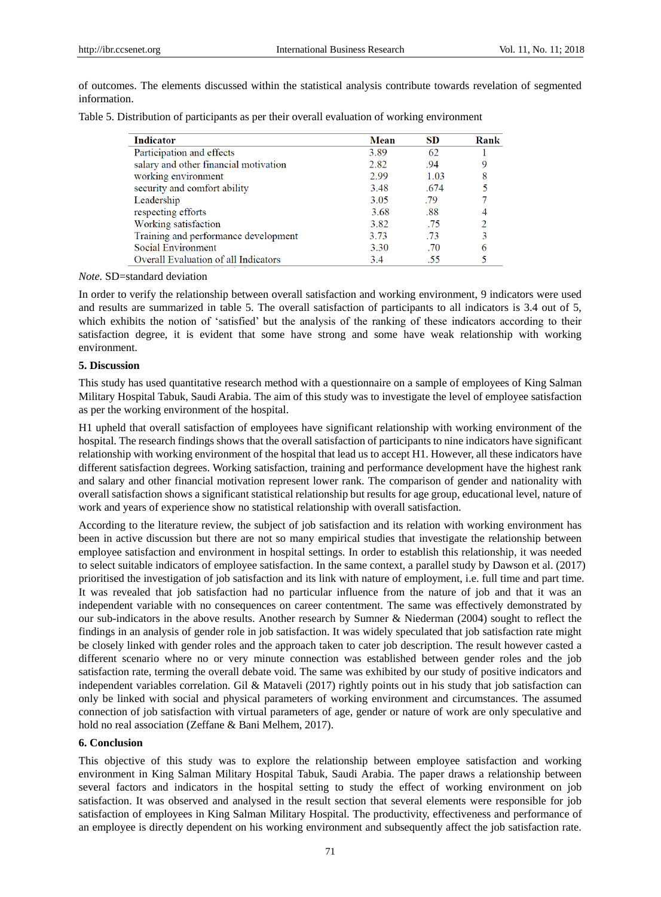of outcomes. The elements discussed within the statistical analysis contribute towards revelation of segmented information.

|  |  |  |  | Table 5. Distribution of participants as per their overall evaluation of working environment |  |  |
|--|--|--|--|----------------------------------------------------------------------------------------------|--|--|
|--|--|--|--|----------------------------------------------------------------------------------------------|--|--|

| Indicator                             | Mean | <b>SD</b> | Rank |
|---------------------------------------|------|-----------|------|
| Participation and effects             | 3.89 | 62        |      |
| salary and other financial motivation | 2.82 | .94       |      |
| working environment                   | 2.99 | 1.03      |      |
| security and comfort ability          | 3.48 | .674      |      |
| Leadership                            | 3.05 | .79       |      |
| respecting efforts                    | 3.68 | .88       |      |
| Working satisfaction                  | 3.82 | .75       |      |
| Training and performance development  | 3.73 | .73       |      |
| Social Environment                    | 3.30 | .70       |      |
| Overall Evaluation of all Indicators  | 3.4  | -55       |      |

#### *Note.* SD=standard deviation

In order to verify the relationship between overall satisfaction and working environment, 9 indicators were used and results are summarized in table 5. The overall satisfaction of participants to all indicators is 3.4 out of 5, which exhibits the notion of 'satisfied' but the analysis of the ranking of these indicators according to their satisfaction degree, it is evident that some have strong and some have weak relationship with working environment.

#### **5. Discussion**

This study has used quantitative research method with a questionnaire on a sample of employees of King Salman Military Hospital Tabuk, Saudi Arabia. The aim of this study was to investigate the level of employee satisfaction as per the working environment of the hospital.

H1 upheld that overall satisfaction of employees have significant relationship with working environment of the hospital. The research findings shows that the overall satisfaction of participants to nine indicators have significant relationship with working environment of the hospital that lead us to accept H1. However, all these indicators have different satisfaction degrees. Working satisfaction, training and performance development have the highest rank and salary and other financial motivation represent lower rank. The comparison of gender and nationality with overall satisfaction shows a significant statistical relationship but results for age group, educational level, nature of work and years of experience show no statistical relationship with overall satisfaction.

According to the literature review, the subject of job satisfaction and its relation with working environment has been in active discussion but there are not so many empirical studies that investigate the relationship between employee satisfaction and environment in hospital settings. In order to establish this relationship, it was needed to select suitable indicators of employee satisfaction. In the same context, a parallel study by Dawson et al. (2017) prioritised the investigation of job satisfaction and its link with nature of employment, i.e. full time and part time. It was revealed that job satisfaction had no particular influence from the nature of job and that it was an independent variable with no consequences on career contentment. The same was effectively demonstrated by our sub-indicators in the above results. Another research by Sumner & Niederman (2004) sought to reflect the findings in an analysis of gender role in job satisfaction. It was widely speculated that job satisfaction rate might be closely linked with gender roles and the approach taken to cater job description. The result however casted a different scenario where no or very minute connection was established between gender roles and the job satisfaction rate, terming the overall debate void. The same was exhibited by our study of positive indicators and independent variables correlation. Gil & Mataveli (2017) rightly points out in his study that job satisfaction can only be linked with social and physical parameters of working environment and circumstances. The assumed connection of job satisfaction with virtual parameters of age, gender or nature of work are only speculative and hold no real association (Zeffane & Bani Melhem, 2017).

#### **6. Conclusion**

This objective of this study was to explore the relationship between employee satisfaction and working environment in King Salman Military Hospital Tabuk, Saudi Arabia. The paper draws a relationship between several factors and indicators in the hospital setting to study the effect of working environment on job satisfaction. It was observed and analysed in the result section that several elements were responsible for job satisfaction of employees in King Salman Military Hospital. The productivity, effectiveness and performance of an employee is directly dependent on his working environment and subsequently affect the job satisfaction rate.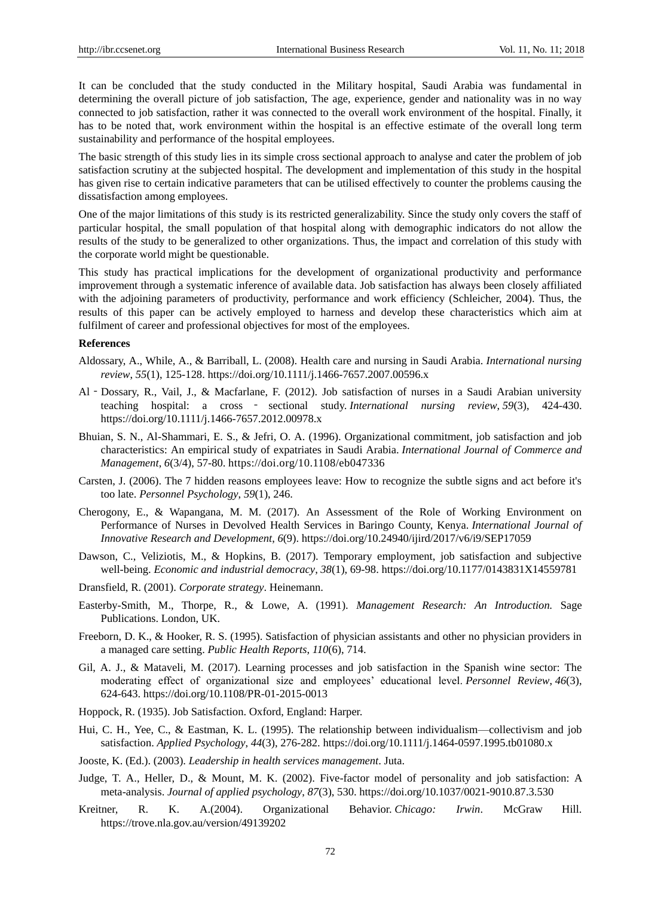It can be concluded that the study conducted in the Military hospital, Saudi Arabia was fundamental in determining the overall picture of job satisfaction, The age, experience, gender and nationality was in no way connected to job satisfaction, rather it was connected to the overall work environment of the hospital. Finally, it has to be noted that, work environment within the hospital is an effective estimate of the overall long term sustainability and performance of the hospital employees.

The basic strength of this study lies in its simple cross sectional approach to analyse and cater the problem of job satisfaction scrutiny at the subjected hospital. The development and implementation of this study in the hospital has given rise to certain indicative parameters that can be utilised effectively to counter the problems causing the dissatisfaction among employees.

One of the major limitations of this study is its restricted generalizability. Since the study only covers the staff of particular hospital, the small population of that hospital along with demographic indicators do not allow the results of the study to be generalized to other organizations. Thus, the impact and correlation of this study with the corporate world might be questionable.

This study has practical implications for the development of organizational productivity and performance improvement through a systematic inference of available data. Job satisfaction has always been closely affiliated with the adjoining parameters of productivity, performance and work efficiency (Schleicher, 2004). Thus, the results of this paper can be actively employed to harness and develop these characteristics which aim at fulfilment of career and professional objectives for most of the employees.

#### **References**

- Aldossary, A., While, A., & Barriball, L. (2008). Health care and nursing in Saudi Arabia. *International nursing review*, *55*(1), 125-128.<https://doi.org/10.1111/j.1466-7657.2007.00596.x>
- Al‐Dossary, R., Vail, J., & Macfarlane, F. (2012). Job satisfaction of nurses in a Saudi Arabian university teaching hospital: a cross ‐ sectional study. *International nursing review*, *59*(3), 424-430. <https://doi.org/10.1111/j.1466-7657.2012.00978.x>
- Bhuian, S. N., Al-Shammari, E. S., & Jefri, O. A. (1996). Organizational commitment, job satisfaction and job characteristics: An empirical study of expatriates in Saudi Arabia. *International Journal of Commerce and Management*, *6*(3/4), 57-80.<https://doi.org/10.1108/eb047336>
- Carsten, J. (2006). The 7 hidden reasons employees leave: How to recognize the subtle signs and act before it's too late. *Personnel Psychology*, *59*(1), 246.
- Cherogony, E., & Wapangana, M. M. (2017). An Assessment of the Role of Working Environment on Performance of Nurses in Devolved Health Services in Baringo County, Kenya. *International Journal of Innovative Research and Development*, *6*(9).<https://doi.org/10.24940/ijird/2017/v6/i9/SEP17059>
- Dawson, C., Veliziotis, M., & Hopkins, B. (2017). Temporary employment, job satisfaction and subjective well-being. *Economic and industrial democracy*, *38*(1), 69-98.<https://doi.org/10.1177/0143831X14559781>
- Dransfield, R. (2001). *Corporate strategy*. Heinemann.
- Easterby-Smith, M., Thorpe, R., & Lowe, A. (1991). *Management Research: An Introduction.* Sage Publications. London, UK.
- Freeborn, D. K., & Hooker, R. S. (1995). Satisfaction of physician assistants and other no physician providers in a managed care setting. *Public Health Reports*, *110*(6), 714.
- Gil, A. J., & Mataveli, M. (2017). Learning processes and job satisfaction in the Spanish wine sector: The moderating effect of organizational size and employees' educational level. *Personnel Review*, *46*(3), 624-643. <https://doi.org/10.1108/PR-01-2015-0013>
- Hoppock, R. (1935). Job Satisfaction. Oxford, England: Harper.
- Hui, C. H., Yee, C., & Eastman, K. L. (1995). The relationship between individualism—collectivism and job satisfaction. *Applied Psychology*, *44*(3), 276-282.<https://doi.org/10.1111/j.1464-0597.1995.tb01080.x>
- Jooste, K. (Ed.). (2003). *Leadership in health services management*. Juta.
- Judge, T. A., Heller, D., & Mount, M. K. (2002). Five-factor model of personality and job satisfaction: A meta-analysis. *Journal of applied psychology*, *87*(3), 530.<https://doi.org/10.1037/0021-9010.87.3.530>
- Kreitner, R. K. A.(2004). Organizational Behavior. *Chicago: Irwin*. McGraw Hill. <https://trove.nla.gov.au/version/49139202>